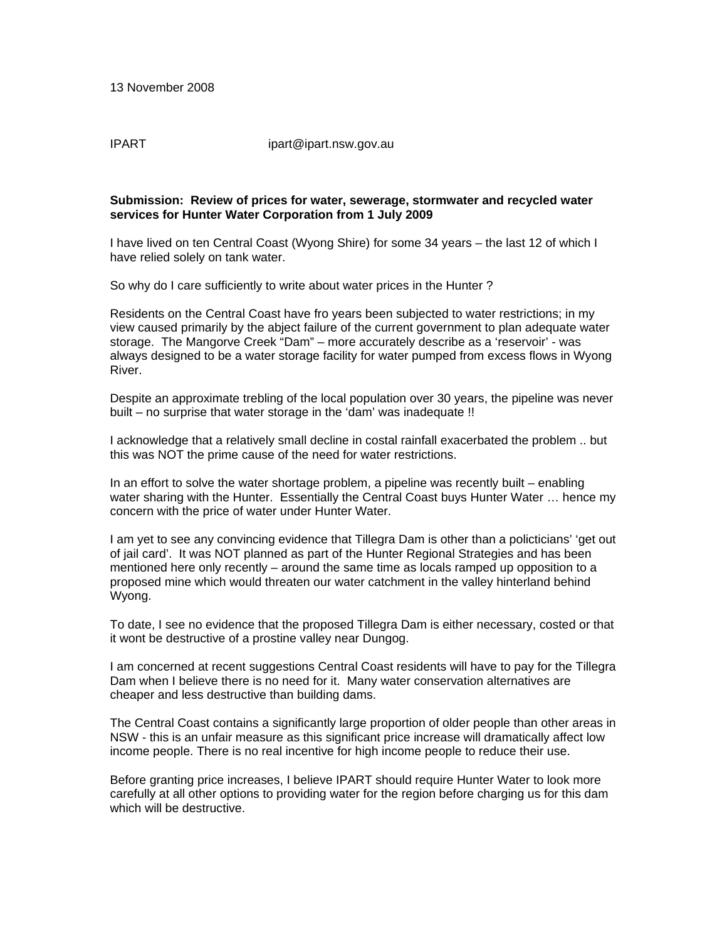IPART ipart@ipart.nsw.gov.au

## **Submission: Review of prices for water, sewerage, stormwater and recycled water services for Hunter Water Corporation from 1 July 2009**

I have lived on ten Central Coast (Wyong Shire) for some 34 years – the last 12 of which I have relied solely on tank water.

So why do I care sufficiently to write about water prices in the Hunter ?

Residents on the Central Coast have fro years been subjected to water restrictions; in my view caused primarily by the abject failure of the current government to plan adequate water storage. The Mangorve Creek "Dam" – more accurately describe as a 'reservoir' - was always designed to be a water storage facility for water pumped from excess flows in Wyong River.

Despite an approximate trebling of the local population over 30 years, the pipeline was never built – no surprise that water storage in the 'dam' was inadequate !!

I acknowledge that a relatively small decline in costal rainfall exacerbated the problem .. but this was NOT the prime cause of the need for water restrictions.

In an effort to solve the water shortage problem, a pipeline was recently built – enabling water sharing with the Hunter. Essentially the Central Coast buys Hunter Water … hence my concern with the price of water under Hunter Water.

I am yet to see any convincing evidence that Tillegra Dam is other than a policticians' 'get out of jail card'. It was NOT planned as part of the Hunter Regional Strategies and has been mentioned here only recently – around the same time as locals ramped up opposition to a proposed mine which would threaten our water catchment in the valley hinterland behind Wyong.

To date, I see no evidence that the proposed Tillegra Dam is either necessary, costed or that it wont be destructive of a prostine valley near Dungog.

I am concerned at recent suggestions Central Coast residents will have to pay for the Tillegra Dam when I believe there is no need for it. Many water conservation alternatives are cheaper and less destructive than building dams.

The Central Coast contains a significantly large proportion of older people than other areas in NSW - this is an unfair measure as this significant price increase will dramatically affect low income people. There is no real incentive for high income people to reduce their use.

Before granting price increases, I believe IPART should require Hunter Water to look more carefully at all other options to providing water for the region before charging us for this dam which will be destructive.